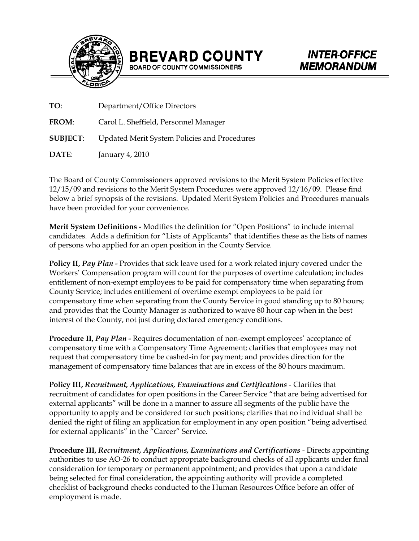



| TO:             | Department/Office Directors                  |
|-----------------|----------------------------------------------|
| <b>FROM:</b>    | Carol L. Sheffield, Personnel Manager        |
| <b>SUBJECT:</b> | Updated Merit System Policies and Procedures |
| DATE:           | January 4, 2010                              |

The Board of County Commissioners approved revisions to the Merit System Policies effective 12/15/09 and revisions to the Merit System Procedures were approved 12/16/09. Please find below a brief synopsis of the revisions. Updated Merit System Policies and Procedures manuals have been provided for your convenience.

 candidates. Adds a definition for "Lists of Applicants" that identifies these as the lists of names **Merit System Definitions -** Modifies the definition for "Open Positions" to include internal of persons who applied for an open position in the County Service*.* 

**Policy II,** *Pay Plan* **-** Provides that sick leave used for a work related injury covered under the Workers' Compensation program will count for the purposes of overtime calculation; includes entitlement of non-exempt employees to be paid for compensatory time when separating from County Service; includes entitlement of overtime exempt employees to be paid for compensatory time when separating from the County Service in good standing up to 80 hours; and provides that the County Manager is authorized to waive 80 hour cap when in the best interest of the County, not just during declared emergency conditions.

**Procedure II,** *Pay Plan* **-** Requires documentation of non-exempt employees' acceptance of compensatory time with a Compensatory Time Agreement; clarifies that employees may not request that compensatory time be cashed-in for payment; and provides direction for the management of compensatory time balances that are in excess of the 80 hours maximum.

**Policy III,** *Recruitment, Applications, Examinations and Certifications -* Clarifies that recruitment of candidates for open positions in the Career Service "that are being advertised for external applicants" will be done in a manner to assure all segments of the public have the opportunity to apply and be considered for such positions; clarifies that no individual shall be denied the right of filing an application for employment in any open position "being advertised for external applicants" in the "Career" Service.

**Procedure III,** *Recruitment, Applications, Examinations and Certifications -* Directs appointing authorities to use AO-26 to conduct appropriate background checks of all applicants under final consideration for temporary or permanent appointment; and provides that upon a candidate being selected for final consideration, the appointing authority will provide a completed checklist of background checks conducted to the Human Resources Office before an offer of employment is made.